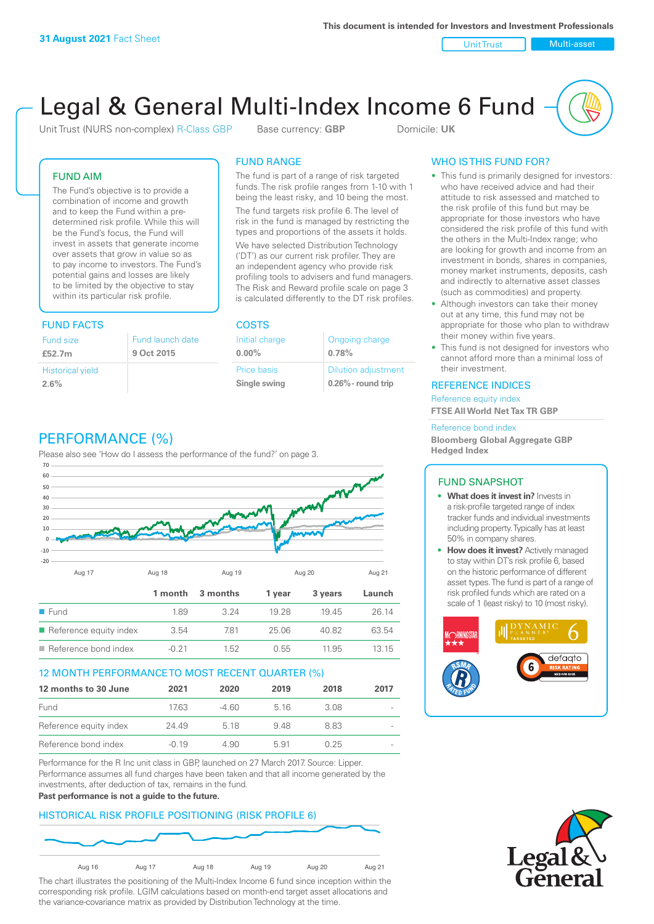Unit Trust Nulti-asset

# Legal & General Multi-Index Income 6 Fund

Unit Trust (NURS non-complex) R-Class GBP Base currency: **GBP** Domicile: UK

### FUND AIM

The Fund's objective is to provide a combination of income and growth and to keep the Fund within a predetermined risk profile. While this will be the Fund's focus, the Fund will invest in assets that generate income over assets that grow in value so as to pay income to investors. The Fund's potential gains and losses are likely to be limited by the objective to stay within its particular risk profile.

### FUND FACTS COSTS

| Fund size                       | Fund launch date |
|---------------------------------|------------------|
| £52.7m                          | 9 Oct 2015       |
| <b>Historical yield</b><br>2.6% |                  |

### FUND RANGE

The fund is part of a range of risk targeted funds. The risk profile ranges from 1-10 with 1 being the least risky, and 10 being the most.

The fund targets risk profile 6. The level of risk in the fund is managed by restricting the types and proportions of the assets it holds. We have selected Distribution Technology ('DT') as our current risk profiler. They are an independent agency who provide risk profiling tools to advisers and fund managers. The Risk and Reward profile scale on page 3 is calculated differently to the DT risk profiles.

**0.00%**

| Initial charge     | Ongoing charge             |
|--------------------|----------------------------|
| $0.00\%$           | 0.78%                      |
| <b>Price basis</b> | <b>Dilution adjustment</b> |
| Single swing       | $0.26\%$ - round trip      |

### WHO IS THIS FUND FOR?

- This fund is primarily designed for investors: who have received advice and had their attitude to risk assessed and matched to the risk profile of this fund but may be appropriate for those investors who have considered the risk profile of this fund with the others in the Multi-Index range; who are looking for growth and income from an investment in bonds, shares in companies, money market instruments, deposits, cash and indirectly to alternative asset classes (such as commodities) and property.
- Although investors can take their money out at any time, this fund may not be appropriate for those who plan to withdraw their money within five years.
- This fund is not designed for investors who cannot afford more than a minimal loss of their investment.

### REFERENCE INDICES

Reference equity index **FTSE All World Net Tax TR GBP**

#### Reference bond index

**Bloomberg Global Aggregate GBP Hedged Index**

### FUND SNAPSHOT

- **• What does it invest in?** Invests in a risk-profile targeted range of index tracker funds and individual investments including property. Typically has at least 50% in company shares.
- **• How does it invest?** Actively managed to stay within DT's risk profile 6, based on the historic performance of different asset types. The fund is part of a range of risk profiled funds which are rated on a scale of 1 (least risky) to 10 (most risky).





### PERFORMANCE (%)

Please also see 'How do I assess the performance of the fund?' on page 3.



### 12 MONTH PERFORMANCE TO MOST RECENT QUARTER (%)

| 12 months to 30 June   | 2021    | 2020  | 2019  | 2018 | 2017                     |
|------------------------|---------|-------|-------|------|--------------------------|
| Fund                   | 1763    | -4.60 | 5 1 6 | 3.08 | $\overline{\phantom{a}}$ |
| Reference equity index | 24.49   | 5 18  | 948   | 883  |                          |
| Reference bond index   | $-0.19$ | 4.90  | 591   | በ 25 |                          |

Performance for the R Inc unit class in GBP, launched on 27 March 2017. Source: Lipper. Performance assumes all fund charges have been taken and that all income generated by the investments, after deduction of tax, remains in the fund.

#### **Past performance is not a guide to the future.**

### HISTORICAL RISK PROFILE POSITIONING (RISK PROFILE 6)



The chart illustrates the positioning of the Multi-Index Income 6 fund since inception within the corresponding risk profile. LGIM calculations based on month-end target asset allocations and the variance-covariance matrix as provided by Distribution Technology at the time.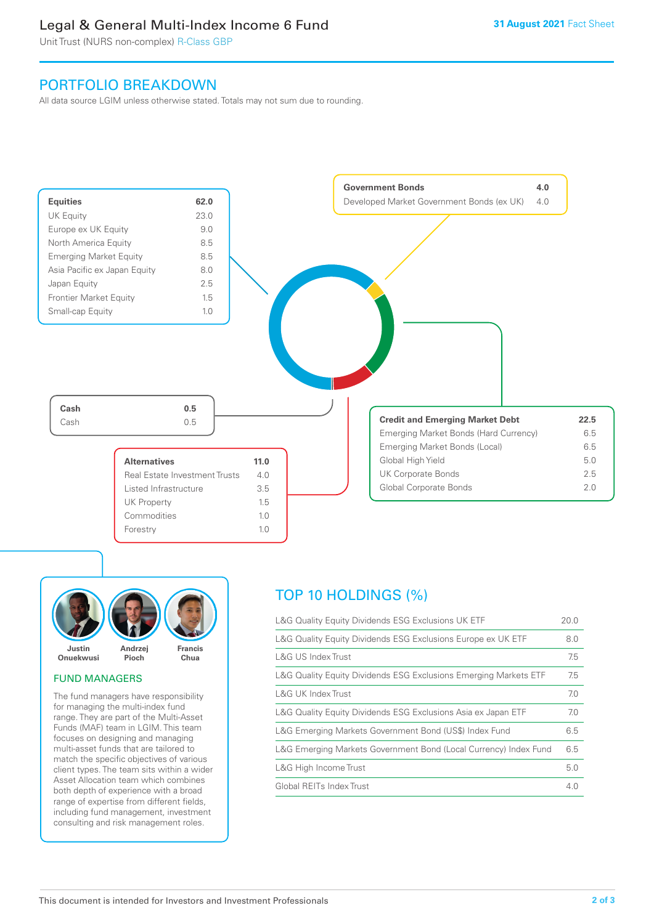### Legal & General Multi-Index Income 6 Fund

Unit Trust (NURS non-complex) R-Class GBP

### PORTFOLIO BREAKDOWN

All data source LGIM unless otherwise stated. Totals may not sum due to rounding.





### FUND MANAGERS

The fund managers have responsibility for managing the multi-index fund range. They are part of the Multi-Asset Funds (MAF) team in LGIM. This team focuses on designing and managing multi-asset funds that are tailored to match the specific objectives of various client types. The team sits within a wider Asset Allocation team which combines both depth of experience with a broad range of expertise from different fields, including fund management, investment consulting and risk management roles.

## TOP 10 HOLDINGS (%)

| L&G Quality Equity Dividends ESG Exclusions UK ETF               | 20.0 |
|------------------------------------------------------------------|------|
| L&G Quality Equity Dividends ESG Exclusions Europe ex UK ETF     | 8.0  |
| L&G US Index Trust                                               | 7.5  |
| L&G Quality Equity Dividends ESG Exclusions Emerging Markets ETF | 7.5  |
| L&G UK Index Trust                                               | 7.0  |
| L&G Quality Equity Dividends ESG Exclusions Asia ex Japan ETF    | 7.0  |
| L&G Emerging Markets Government Bond (US\$) Index Fund           | 6.5  |
| L&G Emerging Markets Government Bond (Local Currency) Index Fund | 6.5  |
| L&G High Income Trust                                            | 5.0  |
| Global REITs Index Trust                                         | 4.0  |